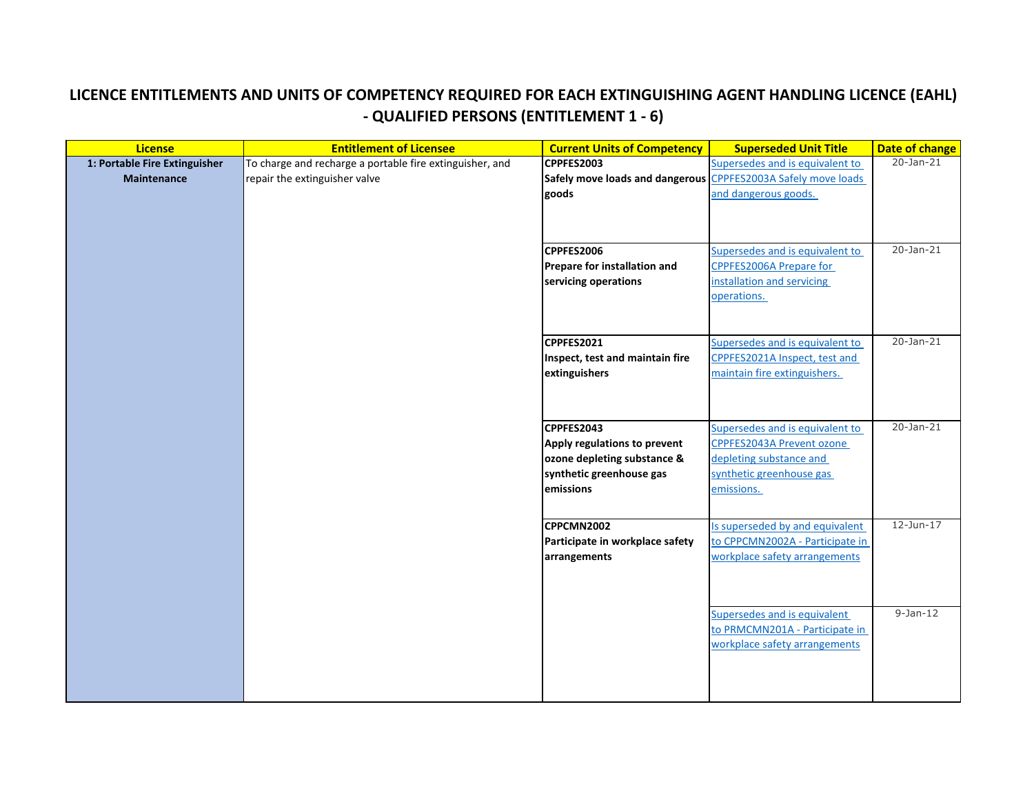## **LICENCE ENTITLEMENTS AND UNITS OF COMPETENCY REQUIRED FOR EACH EXTINGUISHING AGENT HANDLING LICENCE (EAHL) - QUALIFIED PERSONS (ENTITLEMENT 1 - 6)**

| <b>License</b>                | <b>Entitlement of Licensee</b>                           | <b>Current Units of Competency</b>                            | <b>Superseded Unit Title</b>    | <b>Date of change</b> |
|-------------------------------|----------------------------------------------------------|---------------------------------------------------------------|---------------------------------|-----------------------|
| 1: Portable Fire Extinguisher | To charge and recharge a portable fire extinguisher, and | <b>CPPFES2003</b>                                             | Supersedes and is equivalent to | $20 - Jan - 21$       |
| <b>Maintenance</b>            | repair the extinguisher valve                            | Safely move loads and dangerous CPPFES2003A Safely move loads |                                 |                       |
|                               |                                                          | goods                                                         | and dangerous goods.            |                       |
|                               |                                                          |                                                               |                                 |                       |
|                               |                                                          |                                                               |                                 |                       |
|                               |                                                          |                                                               |                                 |                       |
|                               |                                                          | <b>CPPFES2006</b>                                             | Supersedes and is equivalent to | 20-Jan-21             |
|                               |                                                          | <b>Prepare for installation and</b>                           | CPPFES2006A Prepare for         |                       |
|                               |                                                          | servicing operations                                          | installation and servicing      |                       |
|                               |                                                          |                                                               | operations.                     |                       |
|                               |                                                          |                                                               |                                 |                       |
|                               |                                                          |                                                               |                                 |                       |
|                               |                                                          | CPPFES2021                                                    | Supersedes and is equivalent to | 20-Jan-21             |
|                               |                                                          | Inspect, test and maintain fire                               | CPPFES2021A Inspect, test and   |                       |
|                               |                                                          | extinguishers                                                 | maintain fire extinguishers.    |                       |
|                               |                                                          |                                                               |                                 |                       |
|                               |                                                          |                                                               |                                 |                       |
|                               |                                                          | CPPFES2043                                                    | Supersedes and is equivalent to | 20-Jan-21             |
|                               |                                                          | Apply regulations to prevent                                  | CPPFES2043A Prevent ozone       |                       |
|                               |                                                          | ozone depleting substance &                                   | depleting substance and         |                       |
|                               |                                                          | synthetic greenhouse gas                                      | synthetic greenhouse gas        |                       |
|                               |                                                          | emissions                                                     | emissions.                      |                       |
|                               |                                                          |                                                               |                                 |                       |
|                               |                                                          |                                                               |                                 |                       |
|                               |                                                          | CPPCMN2002                                                    | Is superseded by and equivalent | 12-Jun-17             |
|                               |                                                          | Participate in workplace safety                               | to CPPCMN2002A - Participate in |                       |
|                               |                                                          | arrangements                                                  | workplace safety arrangements   |                       |
|                               |                                                          |                                                               |                                 |                       |
|                               |                                                          |                                                               |                                 |                       |
|                               |                                                          |                                                               | Supersedes and is equivalent    | $9-Jan-12$            |
|                               |                                                          |                                                               | to PRMCMN201A - Participate in  |                       |
|                               |                                                          |                                                               | workplace safety arrangements   |                       |
|                               |                                                          |                                                               |                                 |                       |
|                               |                                                          |                                                               |                                 |                       |
|                               |                                                          |                                                               |                                 |                       |
|                               |                                                          |                                                               |                                 |                       |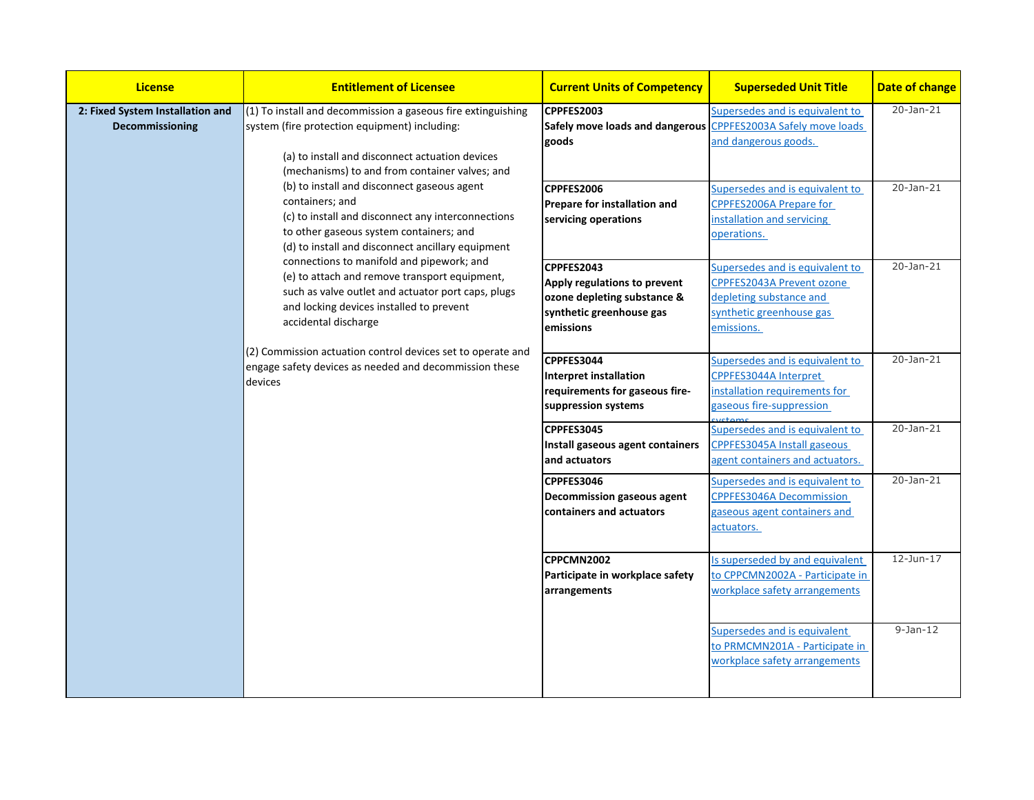| <b>License</b>                                                                                                                                                                                                                                                                                                                                                                                                                               | <b>Entitlement of Licensee</b>                                                                                                                                                                                     | <b>Current Units of Competency</b>                                                                                                | <b>Superseded Unit Title</b>                                                                                          | <b>Date of change</b> |
|----------------------------------------------------------------------------------------------------------------------------------------------------------------------------------------------------------------------------------------------------------------------------------------------------------------------------------------------------------------------------------------------------------------------------------------------|--------------------------------------------------------------------------------------------------------------------------------------------------------------------------------------------------------------------|-----------------------------------------------------------------------------------------------------------------------------------|-----------------------------------------------------------------------------------------------------------------------|-----------------------|
| 2: Fixed System Installation and<br>Decommissioning                                                                                                                                                                                                                                                                                                                                                                                          | (1) To install and decommission a gaseous fire extinguishing<br>system (fire protection equipment) including:<br>(a) to install and disconnect actuation devices<br>(mechanisms) to and from container valves; and | CPPFES2003<br>Safely move loads and dangerous CPPFES2003A Safely move loads<br>goods                                              | Supersedes and is equivalent to<br>and dangerous goods.                                                               | 20-Jan-21             |
| (b) to install and disconnect gaseous agent<br>containers; and<br>(c) to install and disconnect any interconnections<br>to other gaseous system containers; and<br>(d) to install and disconnect ancillary equipment<br>connections to manifold and pipework; and<br>(e) to attach and remove transport equipment,<br>such as valve outlet and actuator port caps, plugs<br>and locking devices installed to prevent<br>accidental discharge | CPPFES2006<br><b>Prepare for installation and</b><br>servicing operations                                                                                                                                          | Supersedes and is equivalent to<br>CPPFES2006A Prepare for<br>installation and servicing<br>operations.                           | $20 - Jan-21$                                                                                                         |                       |
|                                                                                                                                                                                                                                                                                                                                                                                                                                              | CPPFES2043<br>Apply regulations to prevent<br>ozone depleting substance &<br>synthetic greenhouse gas<br>emissions                                                                                                 | Supersedes and is equivalent to<br>CPPFES2043A Prevent ozone<br>depleting substance and<br>synthetic greenhouse gas<br>emissions. | $20 - Jan-21$                                                                                                         |                       |
|                                                                                                                                                                                                                                                                                                                                                                                                                                              | (2) Commission actuation control devices set to operate and<br>engage safety devices as needed and decommission these<br>devices                                                                                   | CPPFES3044<br><b>Interpret installation</b><br>requirements for gaseous fire-<br>suppression systems                              | Supersedes and is equivalent to<br>CPPFES3044A Interpret<br>installation requirements for<br>gaseous fire-suppression | 20-Jan-21             |
|                                                                                                                                                                                                                                                                                                                                                                                                                                              |                                                                                                                                                                                                                    | CPPFES3045<br>Install gaseous agent containers<br>and actuators                                                                   | Supersedes and is equivalent to<br><b>CPPFES3045A Install gaseous</b><br>agent containers and actuators.              | 20-Jan-21             |
|                                                                                                                                                                                                                                                                                                                                                                                                                                              |                                                                                                                                                                                                                    | CPPFES3046<br><b>Decommission gaseous agent</b><br>containers and actuators                                                       | Supersedes and is equivalent to<br><b>CPPFES3046A Decommission</b><br>gaseous agent containers and<br>actuators.      | $20 - Jan - 21$       |
|                                                                                                                                                                                                                                                                                                                                                                                                                                              |                                                                                                                                                                                                                    | CPPCMN2002<br>Participate in workplace safety<br>arrangements                                                                     | Is superseded by and equivalent<br>to CPPCMN2002A - Participate in<br>workplace safety arrangements                   | 12-Jun-17             |
|                                                                                                                                                                                                                                                                                                                                                                                                                                              |                                                                                                                                                                                                                    |                                                                                                                                   | Supersedes and is equivalent<br>to PRMCMN201A - Participate in<br>workplace safety arrangements                       | $9-Jan-12$            |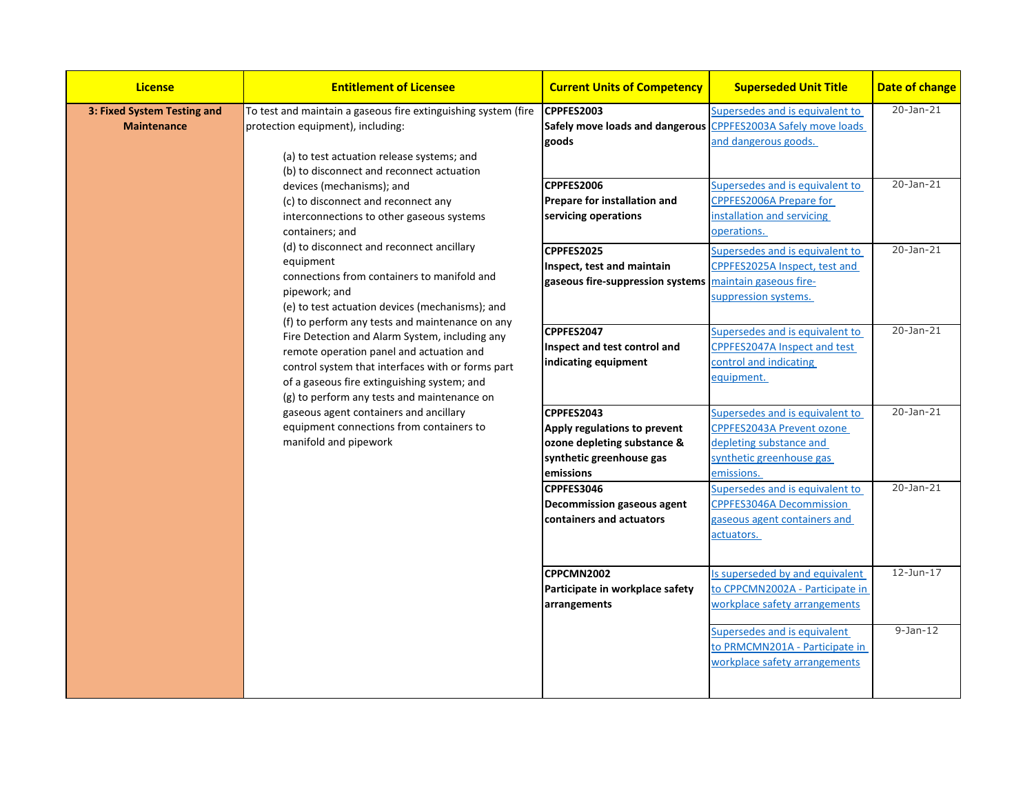| <b>License</b>                                                                                                                                                                                                                                                                                                                                                                                                                                                                                                                                                                                                                                                                                                                                                                                                                                                                                                                                                                          | <b>Entitlement of Licensee</b>                                                                                        | <b>Current Units of Competency</b>                                                                                                                                          | <b>Superseded Unit Title</b>                                                                                                      | <b>Date of change</b> |
|-----------------------------------------------------------------------------------------------------------------------------------------------------------------------------------------------------------------------------------------------------------------------------------------------------------------------------------------------------------------------------------------------------------------------------------------------------------------------------------------------------------------------------------------------------------------------------------------------------------------------------------------------------------------------------------------------------------------------------------------------------------------------------------------------------------------------------------------------------------------------------------------------------------------------------------------------------------------------------------------|-----------------------------------------------------------------------------------------------------------------------|-----------------------------------------------------------------------------------------------------------------------------------------------------------------------------|-----------------------------------------------------------------------------------------------------------------------------------|-----------------------|
| To test and maintain a gaseous fire extinguishing system (fire<br>3: Fixed System Testing and<br>protection equipment), including:<br><b>Maintenance</b><br>(a) to test actuation release systems; and<br>(b) to disconnect and reconnect actuation<br>devices (mechanisms); and<br>(c) to disconnect and reconnect any<br>interconnections to other gaseous systems<br>containers; and<br>(d) to disconnect and reconnect ancillary<br>equipment<br>connections from containers to manifold and<br>pipework; and<br>(e) to test actuation devices (mechanisms); and<br>(f) to perform any tests and maintenance on any<br>Fire Detection and Alarm System, including any<br>remote operation panel and actuation and<br>control system that interfaces with or forms part<br>of a gaseous fire extinguishing system; and<br>(g) to perform any tests and maintenance on<br>gaseous agent containers and ancillary<br>equipment connections from containers to<br>manifold and pipework |                                                                                                                       | CPPFES2003<br>Safely move loads and dangerous CPPFES2003A Safely move loads<br>goods                                                                                        | Supersedes and is equivalent to<br>and dangerous goods.                                                                           | $20 - Jan-21$         |
|                                                                                                                                                                                                                                                                                                                                                                                                                                                                                                                                                                                                                                                                                                                                                                                                                                                                                                                                                                                         | CPPFES2006<br><b>Prepare for installation and</b><br>servicing operations<br>CPPFES2025<br>Inspect, test and maintain | Supersedes and is equivalent to<br>CPPFES2006A Prepare for<br>installation and servicing<br>operations.<br>Supersedes and is equivalent to<br>CPPFES2025A Inspect, test and | $20 - Jan - 21$<br>20-Jan-21                                                                                                      |                       |
|                                                                                                                                                                                                                                                                                                                                                                                                                                                                                                                                                                                                                                                                                                                                                                                                                                                                                                                                                                                         |                                                                                                                       | gaseous fire-suppression systems<br>CPPFES2047                                                                                                                              | maintain gaseous fire-<br>suppression systems.<br>Supersedes and is equivalent to                                                 | 20-Jan-21             |
|                                                                                                                                                                                                                                                                                                                                                                                                                                                                                                                                                                                                                                                                                                                                                                                                                                                                                                                                                                                         | Inspect and test control and<br>indicating equipment                                                                  | CPPFES2047A Inspect and test<br>control and indicating<br>equipment.                                                                                                        |                                                                                                                                   |                       |
|                                                                                                                                                                                                                                                                                                                                                                                                                                                                                                                                                                                                                                                                                                                                                                                                                                                                                                                                                                                         |                                                                                                                       | CPPFES2043<br>Apply regulations to prevent<br>ozone depleting substance &<br>synthetic greenhouse gas<br>emissions                                                          | Supersedes and is equivalent to<br>CPPFES2043A Prevent ozone<br>depleting substance and<br>synthetic greenhouse gas<br>emissions. | 20-Jan-21             |
|                                                                                                                                                                                                                                                                                                                                                                                                                                                                                                                                                                                                                                                                                                                                                                                                                                                                                                                                                                                         |                                                                                                                       | CPPFES3046<br><b>Decommission gaseous agent</b><br>containers and actuators                                                                                                 | Supersedes and is equivalent to<br><b>CPPFES3046A Decommission</b><br>gaseous agent containers and<br>actuators.                  | 20-Jan-21             |
|                                                                                                                                                                                                                                                                                                                                                                                                                                                                                                                                                                                                                                                                                                                                                                                                                                                                                                                                                                                         |                                                                                                                       | CPPCMN2002<br>Participate in workplace safety<br>arrangements                                                                                                               | Is superseded by and equivalent<br>to CPPCMN2002A - Participate in<br>workplace safety arrangements                               | $12$ -Jun- $17$       |
|                                                                                                                                                                                                                                                                                                                                                                                                                                                                                                                                                                                                                                                                                                                                                                                                                                                                                                                                                                                         |                                                                                                                       |                                                                                                                                                                             | Supersedes and is equivalent<br>to PRMCMN201A - Participate in<br>workplace safety arrangements                                   | $9-Jan-12$            |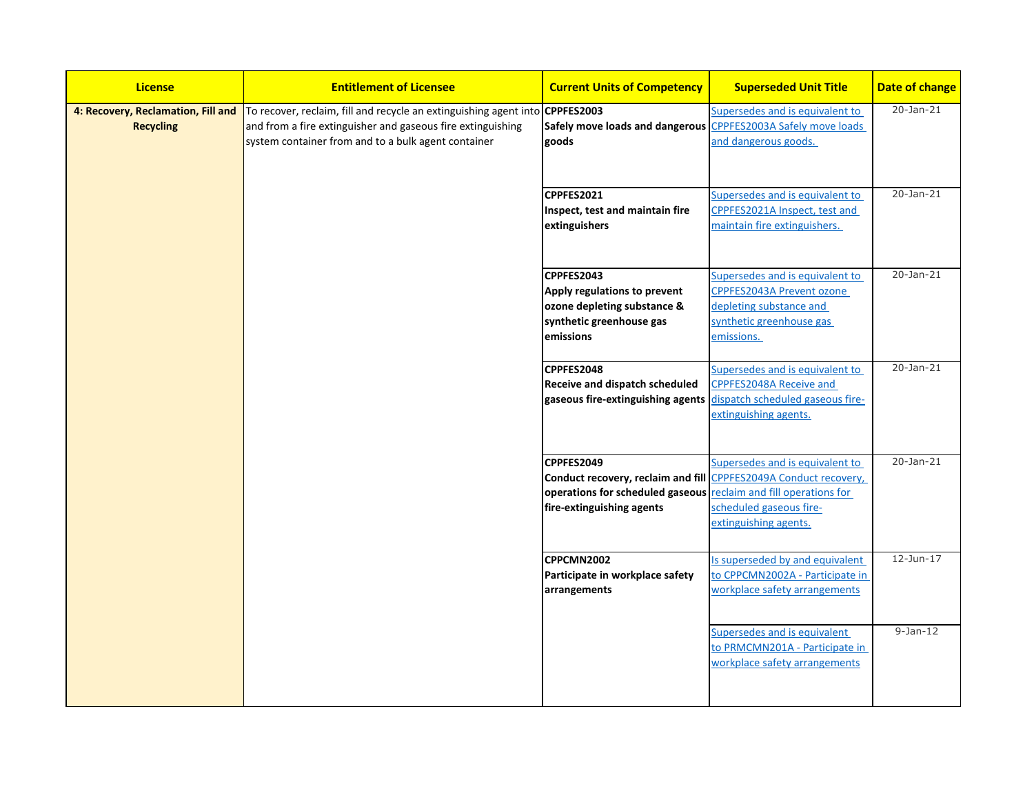| <b>License</b>                                         | <b>Entitlement of Licensee</b>                                                                                                                                                                     | <b>Current Units of Competency</b>                                                                                                                                              | <b>Superseded Unit Title</b>                                                                                                      | Date of change  |
|--------------------------------------------------------|----------------------------------------------------------------------------------------------------------------------------------------------------------------------------------------------------|---------------------------------------------------------------------------------------------------------------------------------------------------------------------------------|-----------------------------------------------------------------------------------------------------------------------------------|-----------------|
| 4: Recovery, Reclamation, Fill and<br><b>Recycling</b> | To recover, reclaim, fill and recycle an extinguishing agent into CPPFES2003<br>and from a fire extinguisher and gaseous fire extinguishing<br>system container from and to a bulk agent container | Safely move loads and dangerous CPPFES2003A Safely move loads<br>goods                                                                                                          | Supersedes and is equivalent to<br>and dangerous goods.                                                                           | 20-Jan-21       |
|                                                        |                                                                                                                                                                                                    | CPPFES2021<br>Inspect, test and maintain fire<br>extinguishers                                                                                                                  | Supersedes and is equivalent to<br>CPPFES2021A Inspect, test and<br>maintain fire extinguishers.                                  | 20-Jan-21       |
|                                                        |                                                                                                                                                                                                    | CPPFES2043<br>Apply regulations to prevent<br>ozone depleting substance &<br>synthetic greenhouse gas<br>emissions                                                              | Supersedes and is equivalent to<br>CPPFES2043A Prevent ozone<br>depleting substance and<br>synthetic greenhouse gas<br>emissions. | 20-Jan-21       |
|                                                        |                                                                                                                                                                                                    | CPPFES2048<br><b>Receive and dispatch scheduled</b><br>gaseous fire-extinguishing agents dispatch scheduled gaseous fire-                                                       | Supersedes and is equivalent to<br>CPPFES2048A Receive and<br>extinguishing agents.                                               | $20 - Jan - 21$ |
|                                                        |                                                                                                                                                                                                    | CPPFES2049<br>Conduct recovery, reclaim and fill CPPFES2049A Conduct recovery,<br>operations for scheduled gaseous reclaim and fill operations for<br>fire-extinguishing agents | Supersedes and is equivalent to<br>scheduled gaseous fire-<br>extinguishing agents.                                               | 20-Jan-21       |
|                                                        |                                                                                                                                                                                                    | CPPCMN2002<br>Participate in workplace safety<br>arrangements                                                                                                                   | Is superseded by and equivalent<br>to CPPCMN2002A - Participate in<br>workplace safety arrangements                               | $12$ -Jun-17    |
|                                                        |                                                                                                                                                                                                    |                                                                                                                                                                                 | Supersedes and is equivalent<br>to PRMCMN201A - Participate in<br>workplace safety arrangements                                   | $9-Jan-12$      |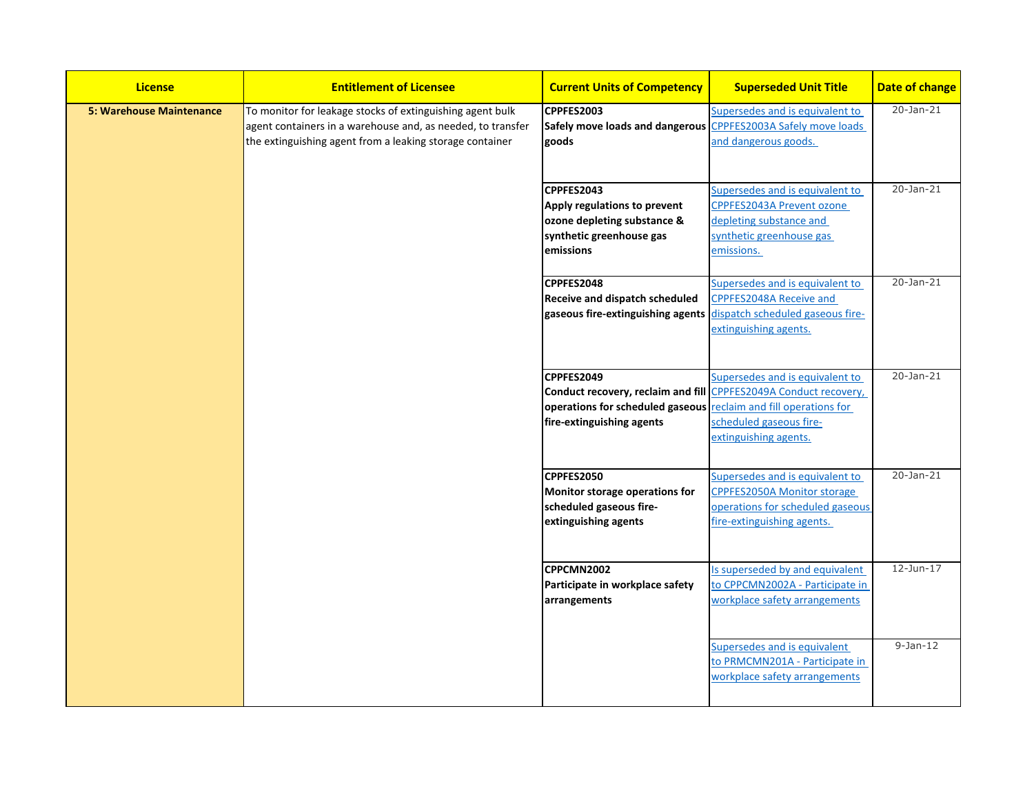| <b>License</b>                  | <b>Entitlement of Licensee</b>                                                                                                                                                       | <b>Current Units of Competency</b>                                                                                                                                              | <b>Superseded Unit Title</b>                                                                                                            | Date of change |
|---------------------------------|--------------------------------------------------------------------------------------------------------------------------------------------------------------------------------------|---------------------------------------------------------------------------------------------------------------------------------------------------------------------------------|-----------------------------------------------------------------------------------------------------------------------------------------|----------------|
| <b>5: Warehouse Maintenance</b> | To monitor for leakage stocks of extinguishing agent bulk<br>agent containers in a warehouse and, as needed, to transfer<br>the extinguishing agent from a leaking storage container | CPPFES2003<br>Safely move loads and dangerous CPPFES2003A Safely move loads<br>goods                                                                                            | Supersedes and is equivalent to<br>and dangerous goods.                                                                                 | 20-Jan-21      |
|                                 |                                                                                                                                                                                      | CPPFES2043<br>Apply regulations to prevent<br>ozone depleting substance &<br>synthetic greenhouse gas<br>emissions                                                              | Supersedes and is equivalent to<br>CPPFES2043A Prevent ozone<br>depleting substance and<br>synthetic greenhouse gas<br>emissions.       | 20-Jan-21      |
|                                 |                                                                                                                                                                                      | CPPFES2048<br><b>Receive and dispatch scheduled</b><br>gaseous fire-extinguishing agents                                                                                        | Supersedes and is equivalent to<br><b>CPPFES2048A Receive and</b><br>dispatch scheduled gaseous fire-<br>extinguishing agents.          | 20-Jan-21      |
|                                 |                                                                                                                                                                                      | CPPFES2049<br>Conduct recovery, reclaim and fill CPPFES2049A Conduct recovery,<br>operations for scheduled gaseous reclaim and fill operations for<br>fire-extinguishing agents | Supersedes and is equivalent to<br>scheduled gaseous fire-<br>extinguishing agents.                                                     | 20-Jan-21      |
|                                 |                                                                                                                                                                                      | CPPFES2050<br>Monitor storage operations for<br>scheduled gaseous fire-<br>extinguishing agents                                                                                 | Supersedes and is equivalent to<br><b>CPPFES2050A Monitor storage</b><br>operations for scheduled gaseous<br>fire-extinguishing agents. | 20-Jan-21      |
|                                 |                                                                                                                                                                                      | CPPCMN2002<br>Participate in workplace safety<br>arrangements                                                                                                                   | Is superseded by and equivalent<br>to CPPCMN2002A - Participate in<br>workplace safety arrangements                                     | $12$ -Jun-17   |
|                                 |                                                                                                                                                                                      |                                                                                                                                                                                 | Supersedes and is equivalent<br>to PRMCMN201A - Participate in<br>workplace safety arrangements                                         | $9-Jan-12$     |